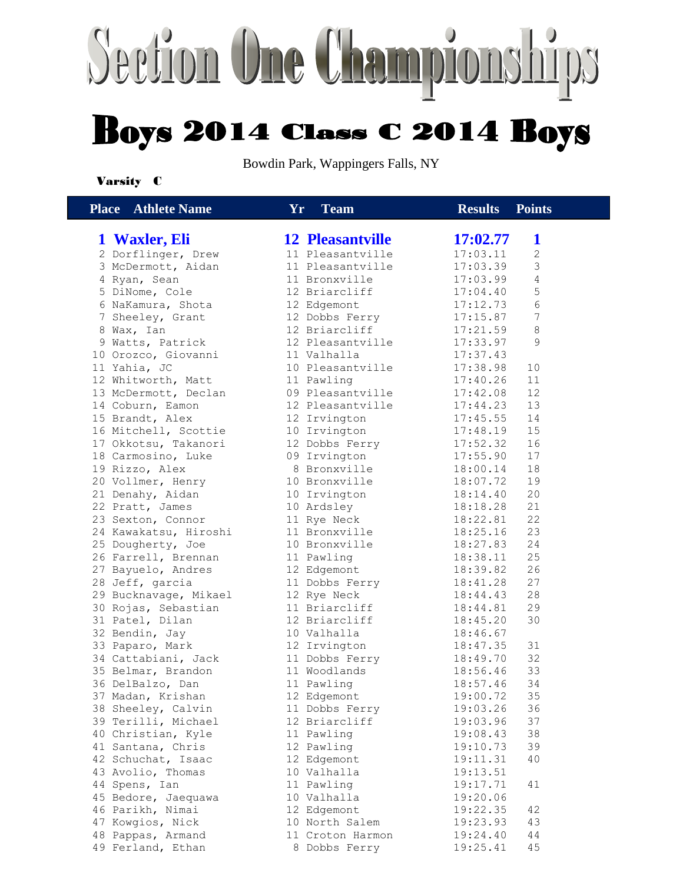## Section One Championships **Boys 2014 Class C 2014 Boys**

Bowdin Park, Wappingers Falls, NY

#### Varsity C

| <b>Place</b> Athlete Name             | Yr. | <b>Team</b>                   | <b>Results</b>       | <b>Points</b> |
|---------------------------------------|-----|-------------------------------|----------------------|---------------|
| 1 Waxler, Eli                         |     | <b>12 Pleasantville</b>       | 17:02.77             | 1             |
| 2 Dorflinger, Drew                    |     | 11 Pleasantville              | 17:03.11             | $\mathbf{2}$  |
| 3 McDermott, Aidan                    |     | 11 Pleasantville              | 17:03.39             | 3             |
| 4 Ryan, Sean                          |     | 11 Bronxville                 | 17:03.99             | 4             |
| 5 DiNome, Cole                        |     | 12 Briarcliff                 | 17:04.40             | 5             |
| 6 NaKamura, Shota                     |     | 12 Edgemont                   | 17:12.73             | 6             |
| 7 Sheeley, Grant                      |     | 12 Dobbs Ferry                | 17:15.87             | 7             |
| 8 Wax, Ian                            |     | 12 Briarcliff                 | 17:21.59             | 8             |
| 9 Watts, Patrick                      |     | 12 Pleasantville              | 17:33.97             | 9             |
| 10 Orozco, Giovanni                   |     | 11 Valhalla                   | 17:37.43             |               |
| 11 Yahia, JC                          |     | 10 Pleasantville              | 17:38.98             | 10            |
| 12 Whitworth, Matt                    |     | 11 Pawling                    | 17:40.26             | 11            |
| 13 McDermott, Declan                  |     | 09 Pleasantville              | 17:42.08             | 12            |
| 14 Coburn, Eamon                      |     | 12 Pleasantville              | 17:44.23             | 13            |
| 15 Brandt, Alex                       |     | 12 Irvington                  | 17:45.55             | 14            |
| 16 Mitchell, Scottie                  |     | 10 Irvington                  | 17:48.19             | 15            |
| 17 Okkotsu, Takanori                  |     | 12 Dobbs Ferry                | 17:52.32             | 16            |
| 18 Carmosino, Luke                    |     | 09 Irvington                  | 17:55.90             | 17            |
| 19 Rizzo, Alex                        |     | 8 Bronxville                  | 18:00.14             | 18            |
| 20 Vollmer, Henry                     |     | 10 Bronxville                 | 18:07.72             | 19            |
| 21 Denahy, Aidan                      |     | 10 Irvington                  | 18:14.40             | 20            |
| 22 Pratt, James                       |     | 10 Ardsley                    | 18:18.28             | 21            |
| 23 Sexton, Connor                     |     | 11 Rye Neck                   | 18:22.81             | 22            |
| 24 Kawakatsu, Hiroshi                 |     | 11 Bronxville                 | 18:25.16             | 23            |
| 25 Dougherty, Joe                     |     | 10 Bronxville                 | 18:27.83             | 24            |
| 26 Farrell, Brennan                   |     | 11 Pawling                    | 18:38.11             | 25            |
| 27 Bayuelo, Andres                    |     | 12 Edgemont                   | 18:39.82             | 26            |
| 28 Jeff, garcia                       |     | 11 Dobbs Ferry                | 18:41.28             | 27            |
| 29 Bucknavage, Mikael                 |     | 12 Rye Neck                   | 18:44.43             | 28            |
| 30 Rojas, Sebastian                   |     | 11 Briarcliff                 | 18:44.81             | 29            |
| 31 Patel, Dilan                       |     | 12 Briarcliff                 | 18:45.20             | 30            |
| 32 Bendin, Jay                        |     | 10 Valhalla                   | 18:46.67             |               |
| 33 Paparo, Mark                       |     | 12 Irvington                  | 18:47.35             | 31            |
| 34 Cattabiani, Jack                   |     | 11 Dobbs Ferry                | 18:49.70             | 32            |
| 35 Belmar, Brandon                    |     | 11 Woodlands                  | 18:56.46             | 33<br>34      |
| 36 DelBalzo, Dan<br>37 Madan, Krishan |     | 11 Pawling                    | 18:57.46             | 35            |
| 38 Sheeley, Calvin                    |     | 12 Edgemont<br>11 Dobbs Ferry | 19:00.72<br>19:03.26 |               |
| 39 Terilli, Michael                   |     | 12 Briarcliff                 | 19:03.96             | 36<br>37      |
| 40 Christian, Kyle                    |     | 11 Pawling                    | 19:08.43             | 38            |
| 41 Santana, Chris                     |     | 12 Pawling                    | 19:10.73             | 39            |
| 42 Schuchat, Isaac                    |     | 12 Edgemont                   | 19:11.31             | 40            |
| 43 Avolio, Thomas                     |     | 10 Valhalla                   | 19:13.51             |               |
| 44 Spens, Ian                         |     | 11 Pawling                    | 19:17.71             | 41            |
| 45 Bedore, Jaequawa                   |     | 10 Valhalla                   | 19:20.06             |               |
| 46 Parikh, Nimai                      |     | 12 Edgemont                   | 19:22.35             | 42            |
| 47 Kowgios, Nick                      |     | 10 North Salem                | 19:23.93             | 43            |
| 48 Pappas, Armand                     |     | 11 Croton Harmon              | 19:24.40             | 44            |
| 49 Ferland, Ethan                     |     | 8 Dobbs Ferry                 | 19:25.41             | 45            |
|                                       |     |                               |                      |               |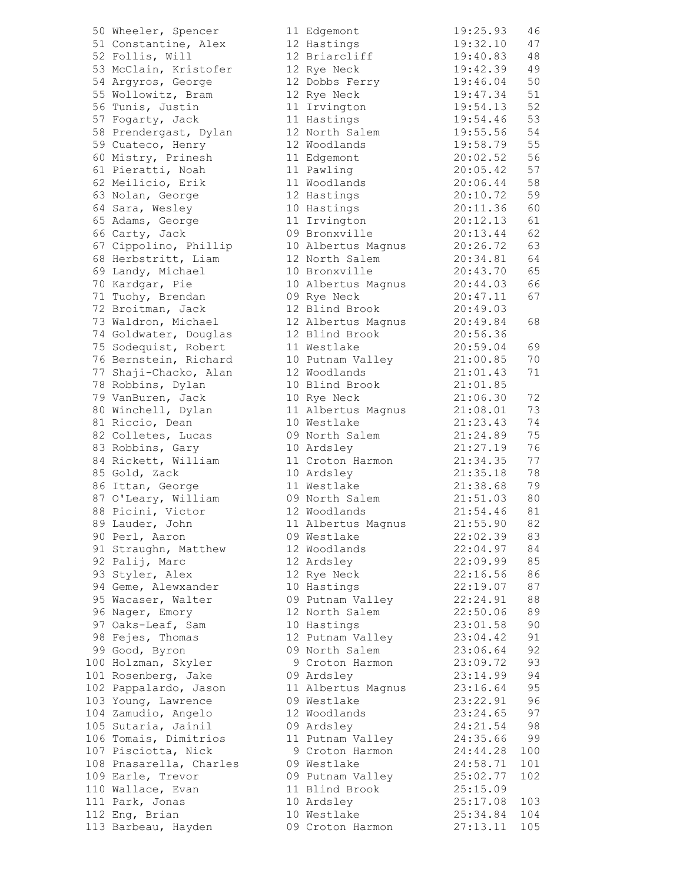50 Wheeler, Spencer 51 Constantine, Alex 52 Follis, Will 53 McClain, Kristofer 54 Argyros, George 55 Wollowitz, Bram 56 Tunis, Justin 57 Fogarty, Jack 58 Prendergast, Dylan 59 Cuateco, Henry 60 Mistry, Prinesh 61 Pieratti, Noah 62 Meilicio, Erik 63 Nolan, George 64 Sara, Wesley 65 Adams, George 66 Carty, Jack 09 Bronxville 20:13.44 62 67 Cippolino, Phillip 68 Herbstritt, Liam 69 Landy, Michael 70 Kardgar, Pie 71 Tuohy, Brendan 0 72 Broitman, Jack 73 Waldron, Michael 74 Goldwater, Douglas 75 Sodequist, Robert 76 Bernstein, Richard 77 Shaji-Chacko, Alan 78 Robbins, Dylan 79 VanBuren, Jack 80 Winchell, Dylan 81 Riccio, Dean 82 Colletes, Lucas 0 83 Robbins, Gary 84 Rickett, William 85 Gold, Zack 86 Ittan, George 87 O'Leary, William 0 88 Picini, Victor 89 Lauder, John 90 Perl, Aaron 0 91 Straughn, Matthew 92 Palij, Marc 93 Styler, Alex 94 Geme, Alewxander 95 Wacaser, Walter 0 96 Nager, Emory 97 Oaks-Leaf, Sam 98 Fejes, Thomas 99 Good, Byron 0 100 Holzman, Skyler 9 Croton Harmon 23:09.72 93 101 Rosenberg, Jake 102 Pappalardo, Jason 103 Young, Lawrence 0 104 Zamudio, Angelo 105 Sutaria, Jainil 0 106 Tomais, Dimitrios 1 107 Pisciotta, Nick 108 Pnasarella, Charles 0 109 Earle, Trevor 0 110 Wallace, Evan 111 Park, Jonas 112 Eng, Brian 113 Barbeau, Hayden 0

| $\lfloor 1 \rfloor$ | Edgemont          | 19:25.93 | 46  |
|---------------------|-------------------|----------|-----|
| $\sqrt{2}$          | Hastings          | 19:32.10 | 47  |
| $\sqrt{2}$          | Briarcliff        | 19:40.83 | 48  |
| L 2                 | Rye Neck          | 19:42.39 | 49  |
| L 2                 | Dobbs Ferry       | 19:46.04 | 50  |
| $\sqrt{2}$          | Rye Neck          | 19:47.34 | 51  |
| $\overline{1}$      |                   | 19:54.13 | 52  |
|                     | Irvington         |          |     |
| $\overline{1}$      | Hastings          | 19:54.46 | 53  |
| $\sqrt{2}$          | North Salem       | 19:55.56 | 54  |
| $\sqrt{2}$          | Woodlands         | 19:58.79 | 55  |
| $\lfloor 1 \rfloor$ | Edgemont          | 20:02.52 | 56  |
| $\lfloor 1 \rfloor$ | Pawling           | 20:05.42 | 57  |
| $\overline{1}$      | Woodlands         | 20:06.44 | 58  |
| $\sqrt{2}$          | Hastings          | 20:10.72 | 59  |
| LO.                 | Hastings          | 20:11.36 | 60  |
| $\overline{1}$      | Irvington         | 20:12.13 | 61  |
|                     | 09 Bronxville     | 20:13.44 | 62  |
| LO.                 | Albertus Magnus   | 20:26.72 | 63  |
| L 2                 | North Salem       | 20:34.81 | 64  |
| LO.                 | Bronxville        | 20:43.70 | 65  |
| LO.                 | Albertus Magnus   | 20:44.03 | 66  |
| 9                   |                   | 20:47.11 |     |
|                     | Rye Neck          |          | 67  |
| $\sqrt{2}$          | Blind Brook       | 20:49.03 |     |
|                     | 2 Albertus Magnus | 20:49.84 | 68  |
| $\sqrt{2}$          | Blind Brook       | 20:56.36 |     |
| $\overline{1}$      | Westlake          | 20:59.04 | 69  |
| LO.                 | Putnam Valley     | 21:00.85 | 70  |
|                     | 2 Woodlands       | 21:01.43 | 71  |
| LO.                 | Blind Brook       | 21:01.85 |     |
| LO.                 | Rye Neck          | 21:06.30 | 72  |
| $\overline{1}$      | Albertus Magnus   | 21:08.01 | 73  |
| LO.                 | Westlake          | 21:23.43 | 74  |
| 9                   | North Salem       | 21:24.89 | 75  |
| LO.                 | Ardsley           | 21:27.19 | 76  |
| $\overline{1}$      | Croton Harmon     | 21:34.35 | 77  |
| LO.                 | Ardsley           | 21:35.18 | 78  |
| $\lfloor 1 \rfloor$ | Westlake          | 21:38.68 | 79  |
|                     | 09 North Salem    | 21:51.03 | 80  |
|                     | 2 Woodlands       | 21:54.46 | 81  |
|                     | 1 Albertus Magnus | 21:55.90 | 82  |
|                     | 09 Westlake       | 22:02.39 | 83  |
|                     | 2 Woodlands       | 22:04.97 | 84  |
|                     | 12 Ardsley        | 22:09.99 | 85  |
|                     | 12 Rye Neck       | 22:16.56 |     |
|                     |                   |          | 86  |
|                     | 10 Hastings       | 22:19.07 | 87  |
|                     | 09 Putnam Valley  | 22:24.91 | 88  |
|                     | 12 North Salem    | 22:50.06 | 89  |
| LO.                 | Hastings          | 23:01.58 | 90  |
| $\sqrt{2}$          | Putnam Valley     | 23:04.42 | 91  |
|                     | 09 North Salem    | 23:06.64 | 92  |
| 9                   | Croton Harmon     | 23:09.72 | 93  |
|                     | 09 Ardsley        | 23:14.99 | 94  |
| $\overline{1}$      | Albertus Magnus   | 23:16.64 | 95  |
| 9 (                 | Westlake          | 23:22.91 | 96  |
| $\sqrt{2}$          | Woodlands         | 23:24.65 | 97  |
| 9                   | Ardsley           | 24:21.54 | 98  |
| $\lfloor 1 \rfloor$ | Putnam Valley     | 24:35.66 | 99  |
| 9                   | Croton Harmon     | 24:44.28 | 100 |
| 9                   | Westlake          | 24:58.71 | 101 |
| 9                   | Putnam Valley     | 25:02.77 | 102 |
| $\overline{1}$      | Blind Brook       | 25:15.09 |     |
| LO.                 | Ardsley           | 25:17.08 | 103 |
|                     | LO Westlake       | 25:34.84 | 104 |
|                     | 09 Croton Harmon  | 27:13.11 | 105 |
|                     |                   |          |     |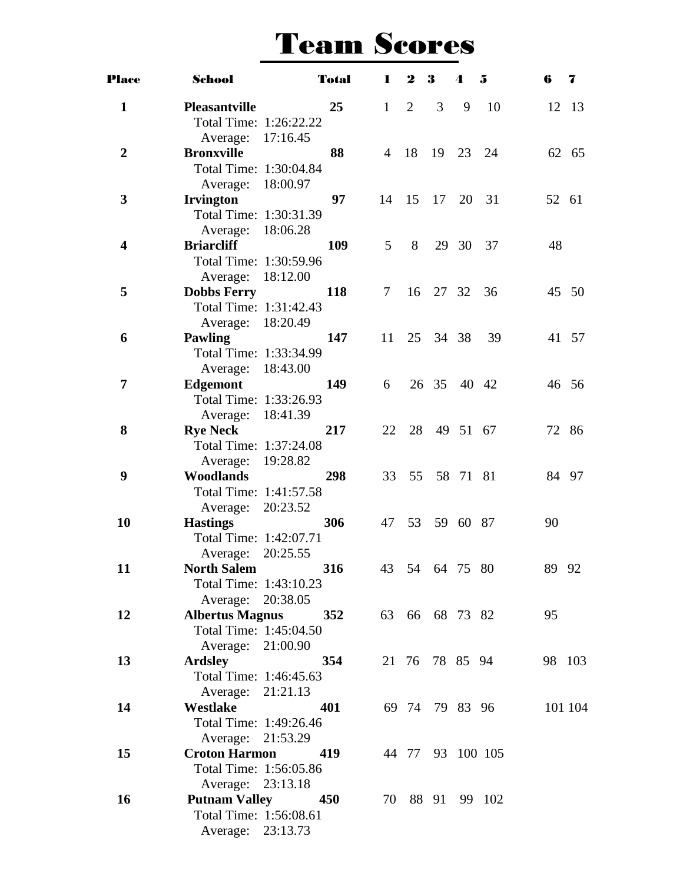| <b>Place</b>            | School                                       |     | <b>Total</b> | 1              | $\boldsymbol{2}$ | 3                      | 4     | 5                | 6  | $\overline{\mathbf{z}}$ |
|-------------------------|----------------------------------------------|-----|--------------|----------------|------------------|------------------------|-------|------------------|----|-------------------------|
| $\mathbf{1}$            | <b>Pleasantville</b>                         |     | 25           | $\mathbf{1}$   | 2                | 3                      | 9     | 10               |    | 12 13                   |
|                         | Total Time: 1:26:22.22                       |     |              |                |                  |                        |       |                  |    |                         |
|                         | Average: 17:16.45                            |     |              |                |                  |                        |       |                  |    |                         |
| $\boldsymbol{2}$        | <b>Bronxville</b>                            |     | 88           | $\overline{4}$ |                  | 18 19 23               |       | 24               |    | 62 65                   |
|                         | Total Time: 1:30:04.84                       |     |              |                |                  |                        |       |                  |    |                         |
|                         | Average: 18:00.97                            |     |              |                |                  |                        |       |                  |    |                         |
| 3                       | <b>Irvington</b>                             |     | 97           |                |                  | 14   15   17   20   31 |       |                  |    | 52 61                   |
|                         | Total Time: 1:30:31.39                       |     |              |                |                  |                        |       |                  |    |                         |
|                         | Average: 18:06.28                            |     |              |                |                  |                        |       |                  |    |                         |
| $\overline{\mathbf{4}}$ | <b>Briarcliff</b>                            |     | 109          | 5 <sup>5</sup> | 8                |                        | 29 30 | 37               | 48 |                         |
|                         | Total Time: 1:30:59.96                       |     |              |                |                  |                        |       |                  |    |                         |
|                         | Average: 18:12.00                            |     |              |                |                  | 16 27 32               |       |                  |    |                         |
| 5                       | <b>Dobbs Ferry</b><br>Total Time: 1:31:42.43 |     | <b>118</b>   | 7              |                  |                        |       | 36               |    | 45 50                   |
|                         | Average: 18:20.49                            |     |              |                |                  |                        |       |                  |    |                         |
| 6                       | <b>Pawling</b>                               |     | 147          | 11             |                  | 25 34 38               |       | 39               |    | 41 57                   |
|                         | Total Time: 1:33:34.99                       |     |              |                |                  |                        |       |                  |    |                         |
|                         | Average: 18:43.00                            |     |              |                |                  |                        |       |                  |    |                         |
| $\overline{7}$          | <b>Edgemont</b>                              |     | 149          | 6              |                  | 26 35 40 42            |       |                  |    | 46 56                   |
|                         | Total Time: 1:33:26.93                       |     |              |                |                  |                        |       |                  |    |                         |
|                         | Average: 18:41.39                            |     |              |                |                  |                        |       |                  |    |                         |
| 8                       | <b>Rye Neck</b>                              |     | 217          | 22             |                  | 28 49 51 67            |       |                  |    | 72 86                   |
|                         | Total Time: 1:37:24.08                       |     |              |                |                  |                        |       |                  |    |                         |
|                         | Average: 19:28.82                            |     |              |                |                  |                        |       |                  |    |                         |
| 9                       | <b>Woodlands</b>                             |     | 298          | 33             |                  | 55 58 71 81            |       |                  |    | 84 97                   |
|                         | Total Time: 1:41:57.58                       |     |              |                |                  |                        |       |                  |    |                         |
|                         | Average: 20:23.52                            |     |              |                |                  |                        |       |                  |    |                         |
| 10                      | <b>Hastings</b>                              |     | 306          | 47             |                  | 53 59 60 87            |       |                  | 90 |                         |
|                         | Total Time: 1:42:07.71                       |     |              |                |                  |                        |       |                  |    |                         |
|                         | Average: 20:25.55                            |     |              |                |                  |                        |       |                  |    |                         |
| 11                      | <b>North Salem</b>                           |     | 316          |                |                  | 43 54 64 75 80         |       |                  |    | 89 92                   |
|                         | Total Time: 1:43:10.23                       |     |              |                |                  |                        |       |                  |    |                         |
|                         | Average: 20:38.05                            |     |              |                |                  |                        |       |                  |    |                         |
| 12                      | <b>Albertus Magnus</b>                       |     | 352          |                |                  | 63 66 68 73 82         |       |                  | 95 |                         |
|                         | Total Time: 1:45:04.50                       |     |              |                |                  |                        |       |                  |    |                         |
|                         | Average: 21:00.90                            |     |              |                |                  |                        |       |                  |    |                         |
| 13                      | <b>Ardsley</b>                               |     | 354          |                |                  | 21 76 78 85 94         |       |                  |    | 98 103                  |
|                         | Total Time: 1:46:45.63                       |     |              |                |                  |                        |       |                  |    |                         |
|                         | Average: 21:21.13                            |     |              |                |                  |                        |       |                  |    |                         |
| 14                      | Westlake<br>Total Time: 1:49:26.46           |     | 401          |                |                  | 69 74 79 83 96         |       |                  |    | 101 104                 |
|                         | Average: 21:53.29                            |     |              |                |                  |                        |       |                  |    |                         |
| 15                      | <b>Croton Harmon</b>                         |     | 419          |                |                  |                        |       | 44 77 93 100 105 |    |                         |
|                         | Total Time: 1:56:05.86                       |     |              |                |                  |                        |       |                  |    |                         |
|                         | Average: 23:13.18                            |     |              |                |                  |                        |       |                  |    |                         |
| 16                      | <b>Putnam Valley</b>                         | 450 |              |                |                  |                        |       | 70 88 91 99 102  |    |                         |
|                         | Total Time: 1:56:08.61                       |     |              |                |                  |                        |       |                  |    |                         |
|                         | Average: 23:13.73                            |     |              |                |                  |                        |       |                  |    |                         |
|                         |                                              |     |              |                |                  |                        |       |                  |    |                         |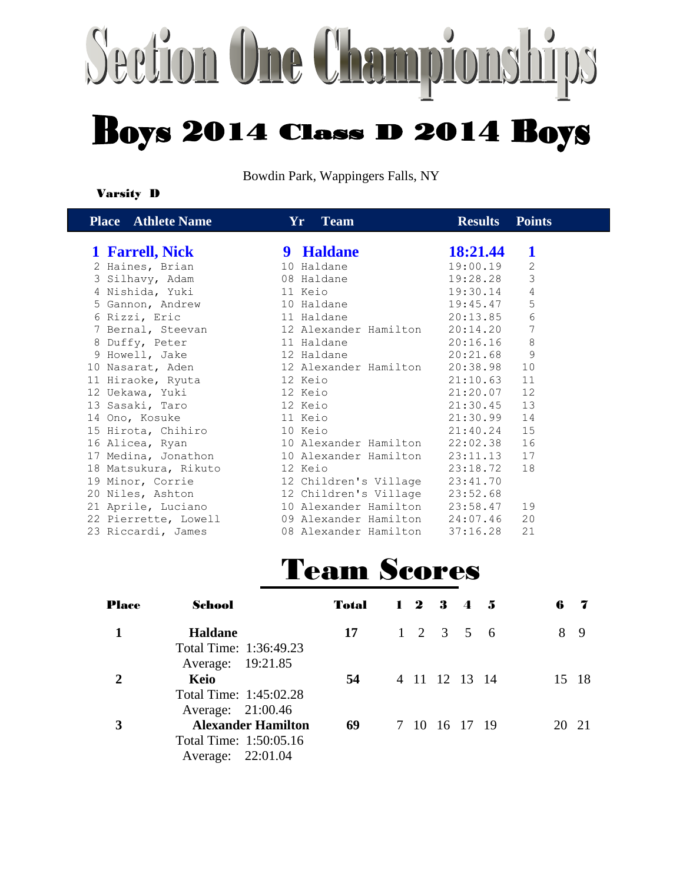# Section One Championships **Boys 2014 Class D 2014 Boys**

Bowdin Park, Wappingers Falls, NY

#### Varsity D

| <b>Place</b> Athlete Name    | Yr Team                                                                                            | <b>Results</b>  | <b>Points</b>  |
|------------------------------|----------------------------------------------------------------------------------------------------|-----------------|----------------|
| 1 Farrell, Nick              | 9 Haldane                                                                                          | <b>18:21.44</b> | 1              |
| 2 Haines, Brian              | 10 Haldane                                                                                         | 19:00.19        | $\sqrt{2}$     |
| 3 Silhavy, Adam              | 19:28.28<br>08 Haldane                                                                             |                 | $\mathfrak{Z}$ |
|                              | 19:30.14                                                                                           |                 | 4              |
| 5 Gannon, Andrew 10 Haldane  |                                                                                                    | 19:45.47        | 5              |
| 6 Rizzi, Eric 11 Haldane     | 20:13.85                                                                                           |                 | $\sqrt{6}$     |
|                              | 7 Bernal, Steevan and 12 Alexander Hamilton 20:14.20                                               |                 | $\overline{7}$ |
| 8 Duffy, Peter               | 11 Haldane<br>20:16.16                                                                             |                 | 8              |
|                              | 9 Howell, Jake 12 Haldane 20:21.68                                                                 |                 | $\mathcal{G}$  |
|                              | 10 Nasarat, Aden 12 Alexander Hamilton 20:38.98                                                    |                 | 10             |
| 11 Hiraoke, Ryuta 12 Keio    |                                                                                                    | 21:10.63        | 11             |
|                              |                                                                                                    | 21:20.07 12     |                |
| 13 Sasaki, Taro 12 Keio      |                                                                                                    | 21:30.45 13     |                |
| 14 Ono, Kosuke 11 Keio       |                                                                                                    | 21:30.99 14     |                |
| 15 Hirota, Chihiro 10 Keio   | 21:40.24 15                                                                                        |                 |                |
|                              | 16 Alicea, Ryan 10 Alexander Hamilton 22:02.38 16                                                  |                 |                |
|                              | 17 Medina, Jonathon 10 Alexander Hamilton 23:11.13 17                                              |                 |                |
| 18 Matsukura, Rikuto 12 Keio |                                                                                                    | 23:18.72        | 18             |
|                              | 19 Minor, Corrie 12 Children's Village 23:41.70<br>20 Niles, Ashton 12 Children's Village 23:52.68 |                 |                |
|                              |                                                                                                    |                 |                |
|                              | 21 Aprile, Luciano 10 Alexander Hamilton 23:58.47                                                  |                 | 19             |
|                              | 22 Pierrette, Lowell 09 Alexander Hamilton 24:07.46                                                |                 | 20             |
|                              | 23 Riccardi, James 68 Alexander Hamilton 37:16.28                                                  |                 | 21             |

| <b>Place</b> | School                    | Total | $1\;\; 2\;\; 3\;\; 4\;\; 5$ |                     |  | 6  |    | 7    |
|--------------|---------------------------|-------|-----------------------------|---------------------|--|----|----|------|
|              | <b>Haldane</b>            | 17    |                             | $1 \t2 \t3 \t5 \t6$ |  |    | 8  | -9   |
|              | Total Time: 1:36:49.23    |       |                             |                     |  |    |    |      |
|              | Average: 19:21.85         |       |                             |                     |  |    |    |      |
|              | Keio                      | 54    |                             | 4 11 12 13 14       |  |    | 15 | -18  |
|              | Total Time: 1:45:02.28    |       |                             |                     |  |    |    |      |
|              | Average: 21:00.46         |       |                             |                     |  |    |    |      |
| 3            | <b>Alexander Hamilton</b> | 69    |                             | 7 10 16 17 19       |  | 20 |    | - 21 |
|              | Total Time: 1:50:05.16    |       |                             |                     |  |    |    |      |
|              | Average: 22:01.04         |       |                             |                     |  |    |    |      |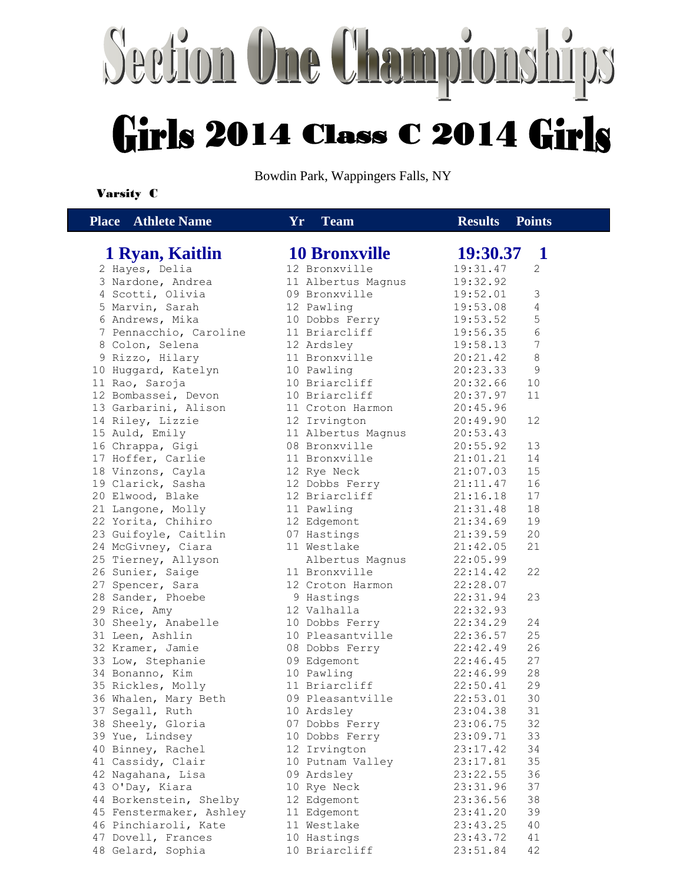# Section One Chan Girls 2014 Class C 2014 Girls

Bowdin Park, Wappingers Falls, NY

#### Varsity C

 **Place Athlete Name Yr Team Results** Place

|  | <b>Team</b> |  |
|--|-------------|--|
|--|-------------|--|

#### **1 Ryan, Kaitlin** 2 Hayes, Delia

3 Nardone, Andrea 4 Scotti, Olivia 5 Marvin, Sarah 6 Andrews, Mika 7 Pennacchio, Caroline 8 Colon, Selena 9 Rizzo, Hilary 10 Huggard, Katelyn 11 Rao, Saroja 12 Bombassei, Devon 13 Garbarini, Alison 14 Riley, Lizzie 15 Auld, Emily 16 Chrappa, Gigi 17 Hoffer, Carlie 18 Vinzons, Cayla 19 Clarick, Sasha 20 Elwood, Blake 21 Langone, Molly 22 Yorita, Chihiro 23 Guifoyle, Caitlin 24 McGivney, Ciara 25 Tierney, Allyson 26 Sunier, Saige 27 Spencer, Sara 28 Sander, Phoebe 29 Rice, Amy 30 Sheely, Anabelle 31 Leen, Ashlin 32 Kramer, Jamie 33 Low, Stephanie 34 Bonanno, Kim 35 Rickles, Molly 36 Whalen, Mary Beth 37 Segall, Ruth 38 Sheely, Gloria 39 Yue, Lindsey 40 Binney, Rachel 41 Cassidy, Clair 42 Nagahana, Lisa 43 O'Day, Kiara 44 Borkenstein, Shelby 45 Fenstermaker, Ashley 46 Pinchiaroli, Kate 47 Dovell, Frances 48 Gelard, Sophia

| 11<br><u>i ealli</u> | Results<br><b>T</b> OIIIUS |  |
|----------------------|----------------------------|--|
|                      |                            |  |
| <b>10 Bronxville</b> | 19:30.37 1                 |  |
| 12 Bronxville        | 19:31.47<br>2              |  |
| 11 Albertus Magnus   | 19:32.92                   |  |
| 09 Bronxville        | 19:52.01<br>3              |  |
| 12 Pawling           | 19:53.08<br>$\overline{4}$ |  |
| 10 Dobbs Ferry       | 19:53.52<br>$\mathsf S$    |  |
| 11 Briarcliff        | 19:56.35<br>6              |  |
| 12 Ardsley           | $\overline{7}$<br>19:58.13 |  |
| 11 Bronxville        | 8<br>20:21.42              |  |
| 10 Pawling           | 20:23.33<br>9              |  |
| 10 Briarcliff        | 20:32.66<br>10             |  |
| 10 Briarcliff        | 20:37.97<br>11             |  |
| 11 Croton Harmon     | 20:45.96                   |  |
| 12 Irvington         | 12<br>20:49.90             |  |
| 11 Albertus Magnus   | 20:53.43                   |  |
| 08 Bronxville        | 20:55.92<br>13             |  |
| 11 Bronxville        | 21:01.21<br>14             |  |
| 12 Rye Neck          | 15<br>21:07.03             |  |
| 12 Dobbs Ferry       | 16<br>21:11.47             |  |
| 12 Briarcliff        | 21:16.18<br>17             |  |
| 11 Pawling           | 21:31.48<br>18             |  |
| 12 Edgemont          | 21:34.69<br>19             |  |
| 07 Hastings          | 21:39.59<br>20             |  |
| 11 Westlake          | 21:42.05<br>21             |  |
| Albertus Magnus      | 22:05.99                   |  |
| 11 Bronxville        | 22:14.42<br>22             |  |
| 12 Croton Harmon     | 22:28.07                   |  |
| 9 Hastings           | 22:31.94<br>23             |  |
| 12 Valhalla          | 22:32.93                   |  |
| 10 Dobbs Ferry       | 22:34.29<br>24             |  |
| 10 Pleasantville     | 25<br>22:36.57             |  |
| 08 Dobbs Ferry       | 22:42.49<br>26             |  |
| 09 Edgemont          | 22:46.45<br>27             |  |
| 10 Pawling           | 22:46.99<br>28             |  |
| 11 Briarcliff        | 22:50.41<br>29             |  |
| 09 Pleasantville     | 30<br>22:53.01             |  |
| 10 Ardsley           | 23:04.38<br>31             |  |
| 07 Dobbs Ferry       | 32<br>23:06.75             |  |
| 10 Dobbs Ferry       | 23:09.71<br>33             |  |
| 12 Irvington         | 23:17.42<br>34             |  |
| 10 Putnam Valley     | 23:17.81<br>35             |  |
| 09 Ardsley           | 23:22.55<br>36             |  |
| 10 Rye Neck          | 23:31.96<br>37             |  |
| 12<br>Edgemont       | 23:36.56<br>38             |  |
| Edgemont<br>11       | 23:41.20<br>39             |  |
| 11<br>Westlake       | 23:43.25<br>40             |  |
| 10 Hastings          | 23:43.72<br>41             |  |
| 10 Briarcliff        | 23:51.84<br>42             |  |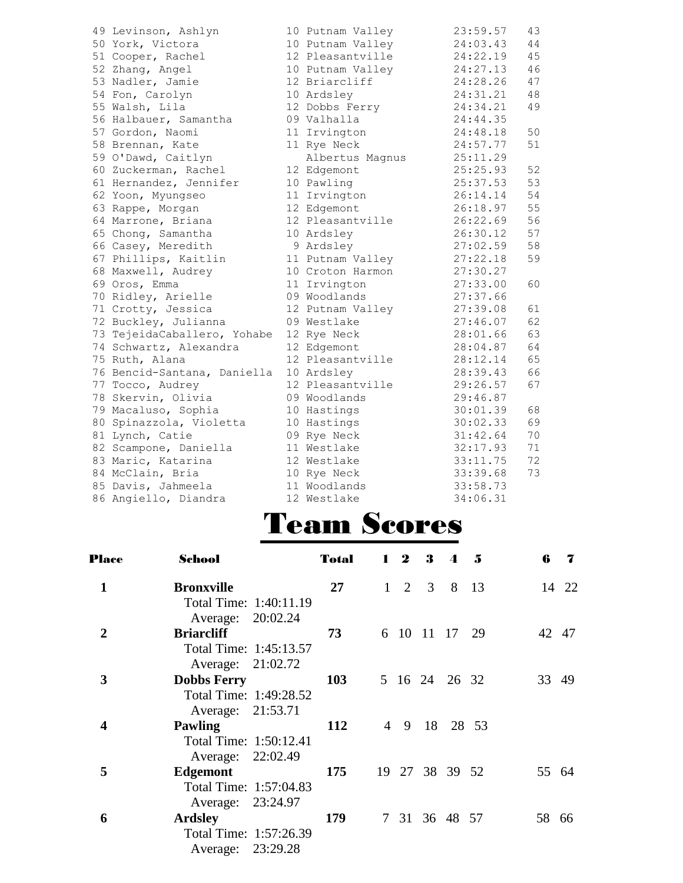| 49 Levinson, Ashlyn         | 10 Putnam Valley | 23:59.57 | 43 |
|-----------------------------|------------------|----------|----|
| 50 York, Victora            | 10 Putnam Valley | 24:03.43 | 44 |
| 51 Cooper, Rachel           | 12 Pleasantville | 24:22.19 | 45 |
| 52 Zhang, Angel             | 10 Putnam Valley | 24:27.13 | 46 |
| 53 Nadler, Jamie            | 12 Briarcliff    | 24:28.26 | 47 |
| 54 Fon, Carolyn             | 10 Ardsley       | 24:31.21 | 48 |
| 55 Walsh, Lila              | 12 Dobbs Ferry   | 24:34.21 | 49 |
| 56 Halbauer, Samantha       | 09 Valhalla      | 24:44.35 |    |
| 57 Gordon, Naomi            | 11 Irvington     | 24:48.18 | 50 |
| 58 Brennan, Kate            | 11 Rye Neck      | 24:57.77 | 51 |
| 59 O'Dawd, Caitlyn          | Albertus Magnus  | 25:11.29 |    |
| 60 Zuckerman, Rachel        | 12 Edgemont      | 25:25.93 | 52 |
| 61 Hernandez, Jennifer      | 10 Pawling       | 25:37.53 | 53 |
| 62 Yoon, Myungseo           | 11 Irvington     | 26:14.14 | 54 |
| 63 Rappe, Morgan            | 12 Edgemont      | 26:18.97 | 55 |
| 64 Marrone, Briana          | 12 Pleasantville | 26:22.69 | 56 |
| 65 Chong, Samantha          | 10 Ardsley       | 26:30.12 | 57 |
| 66 Casey, Meredith          | 9 Ardsley        | 27:02.59 | 58 |
| 67 Phillips, Kaitlin        | 11 Putnam Valley | 27:22.18 | 59 |
| 68 Maxwell, Audrey          | 10 Croton Harmon | 27:30.27 |    |
| 69 Oros, Emma               | 11 Irvington     | 27:33.00 | 60 |
| 70 Ridley, Arielle          | 09 Woodlands     | 27:37.66 |    |
| 71 Crotty, Jessica          | 12 Putnam Valley | 27:39.08 | 61 |
| 72 Buckley, Julianna        | 09 Westlake      | 27:46.07 | 62 |
| 73 TejeidaCaballero, Yohabe | 12 Rye Neck      | 28:01.66 | 63 |
| 74 Schwartz, Alexandra      | 12 Edgemont      | 28:04.87 | 64 |
| 75 Ruth, Alana              | 12 Pleasantville | 28:12.14 | 65 |
| 76 Bencid-Santana, Daniella | 10 Ardsley       | 28:39.43 | 66 |
| 77 Tocco, Audrey            | 12 Pleasantville | 29:26.57 | 67 |
| 78 Skervin, Olivia          | 09 Woodlands     | 29:46.87 |    |
| 79 Macaluso, Sophia         | 10 Hastings      | 30:01.39 | 68 |
| 80 Spinazzola, Violetta     | 10 Hastings      | 30:02.33 | 69 |
| 81 Lynch, Catie             | 09 Rye Neck      | 31:42.64 | 70 |
| 82 Scampone, Daniella       | 11 Westlake      | 32:17.93 | 71 |
| 83 Maric, Katarina          | 12 Westlake      | 33:11.75 | 72 |
| 84 McClain, Bria            | 10 Rye Neck      | 33:39.68 | 73 |
| 85 Davis, Jahmeela          | 11 Woodlands     | 33:58.73 |    |
| 86 Angiello, Diandra        | 12 Westlake      | 34:06.31 |    |

| <b>Place</b> | School                 | <b>Total</b> | $1\quad 2$ | 3 | $\boldsymbol{\Lambda}$ | .5 | 6     | 7     |
|--------------|------------------------|--------------|------------|---|------------------------|----|-------|-------|
| $\mathbf{1}$ | <b>Bronxville</b>      | 27           |            |   | $1 \t2 \t3 \t8 \t13$   |    |       | 14 22 |
|              | Total Time: 1:40:11.19 |              |            |   |                        |    |       |       |
|              | Average: 20:02.24      |              |            |   |                        |    |       |       |
| 2            | <b>Briarcliff</b>      | 73           |            |   | 6 10 11 17             | 29 | 42    | 47    |
|              | Total Time: 1:45:13.57 |              |            |   |                        |    |       |       |
|              | Average: 21:02.72      |              |            |   |                        |    |       |       |
| 3            | <b>Dobbs Ferry</b>     | 103          |            |   | 5 16 24 26 32          |    | 33    | 49    |
|              | Total Time: 1:49:28.52 |              |            |   |                        |    |       |       |
|              | Average: 21:53.71      |              |            |   |                        |    |       |       |
| 4            | <b>Pawling</b>         | 112          |            |   | 4 9 18 28 53           |    |       |       |
|              | Total Time: 1:50:12.41 |              |            |   |                        |    |       |       |
|              | Average: 22:02.49      |              |            |   |                        |    |       |       |
| 5            | Edgemont               | 175          |            |   | 19 27 38 39 52         |    | 55 64 |       |
|              | Total Time: 1:57:04.83 |              |            |   |                        |    |       |       |
|              | Average: 23:24.97      |              |            |   |                        |    |       |       |
| 6            | <b>Ardsley</b>         | 179          |            |   | 7 31 36 48 57          |    | 58 66 |       |
|              | Total Time: 1:57:26.39 |              |            |   |                        |    |       |       |
|              | Average: 23:29.28      |              |            |   |                        |    |       |       |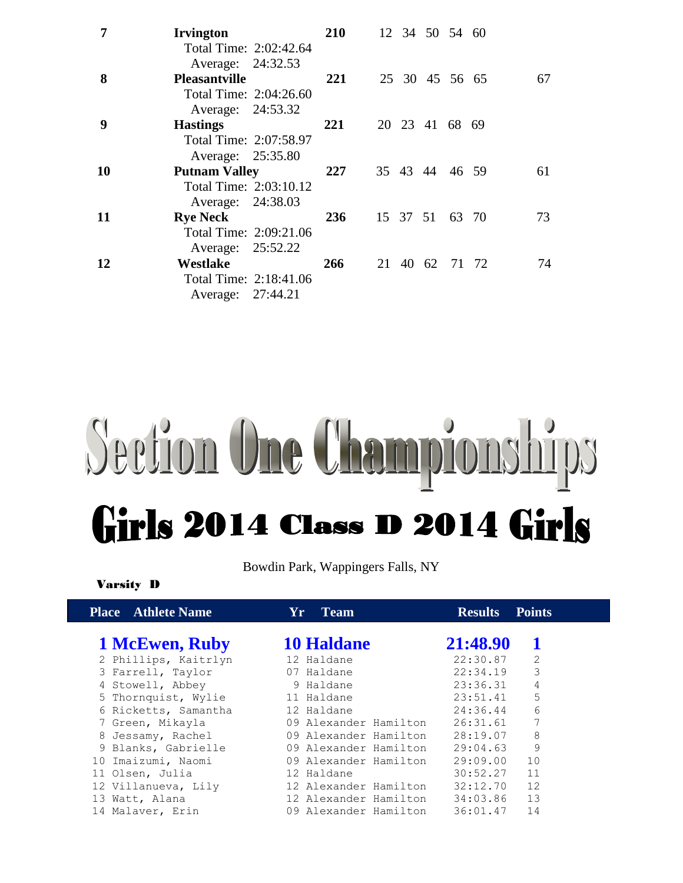| 7  | <b>Irvington</b><br>Total Time: 2:02:42.64<br>Average: 24:32.53     | <b>210</b> |  |          | 12 34 50 54 60 |       |    |
|----|---------------------------------------------------------------------|------------|--|----------|----------------|-------|----|
| 8  | <b>Pleasantville</b><br>Total Time: 2:04:26.60                      | 221        |  |          | 25 30 45 56 65 |       | 67 |
| 9  | Average: 24:53.32<br><b>Hastings</b><br>Total Time: 2:07:58.97      | 221        |  |          | 20 23 41 68 69 |       |    |
| 10 | Average: 25:35.80<br><b>Putnam Valley</b><br>Total Time: 2:03:10.12 | 227        |  |          | 35 43 44 46 59 |       | 61 |
| 11 | Average: 24:38.03<br><b>Rye Neck</b><br>Total Time: 2:09:21.06      | 236        |  | 15 37 51 |                | 63 70 | 73 |
| 12 | Average: 25:52.22<br><b>Westlake</b><br>Total Time: 2:18:41.06      | 266        |  |          | 21 40 62 71 72 |       | 74 |
|    | Average: 27:44.21                                                   |            |  |          |                |       |    |

## Section One Championships Girls 2014 Class D 2014 Girls

Bowdin Park, Wappingers Falls, NY

Varsity D

| <b>Place</b> Athlete Name | Yr.<br><b>Team</b>    | <b>Results</b><br><b>Points</b> |
|---------------------------|-----------------------|---------------------------------|
| 1 McEwen, Ruby            | <b>10 Haldane</b>     | 21:48.90                        |
| 2 Phillips, Kaitrlyn      | 12 Haldane            | 22:30.87<br>2                   |
| 3 Farrell, Taylor         | 07 Haldane            | 3<br>22:34.19                   |
| 4 Stowell, Abbey          | 9 Haldane             | 4<br>23:36.31                   |
| 5 Thornquist, Wylie       | 11 Haldane            | 5<br>23:51.41                   |
| 6 Ricketts, Samantha      | 12 Haldane            | 6<br>24:36.44                   |
| 7 Green, Mikayla          | 09 Alexander Hamilton | 7<br>26:31.61                   |
| 8 Jessamy, Rachel         | 09 Alexander Hamilton | 8<br>28:19.07                   |
| 9 Blanks, Gabrielle       | 09 Alexander Hamilton | 9<br>29:04.63                   |
| 10 Imaizumi, Naomi        | 09 Alexander Hamilton | 29:09.00<br>10                  |
| 11 Olsen, Julia           | 12 Haldane            | 11<br>30:52.27                  |
| 12 Villanueva, Lily       | 12 Alexander Hamilton | 12<br>32:12.70                  |
| 13 Watt, Alana            | 12 Alexander Hamilton | 13<br>34:03.86                  |
| 14 Malaver, Erin          | 09 Alexander Hamilton | 36:01.47<br>14                  |